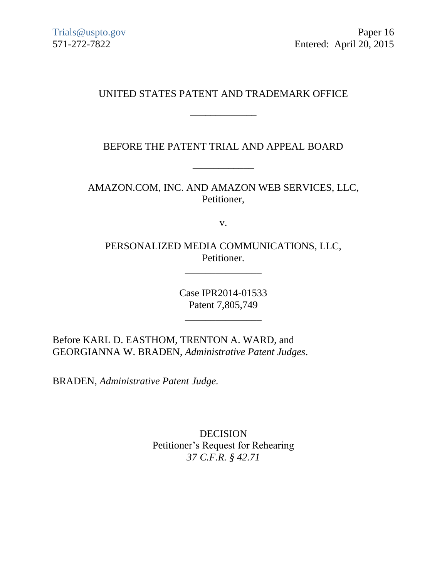# UNITED STATES PATENT AND TRADEMARK OFFICE

\_\_\_\_\_\_\_\_\_\_\_\_\_

BEFORE THE PATENT TRIAL AND APPEAL BOARD

\_\_\_\_\_\_\_\_\_\_\_\_

AMAZON.COM, INC. AND AMAZON WEB SERVICES, LLC, Petitioner,

v.

PERSONALIZED MEDIA COMMUNICATIONS, LLC, Petitioner.

\_\_\_\_\_\_\_\_\_\_\_\_\_\_\_

Case IPR2014-01533 Patent 7,805,749

\_\_\_\_\_\_\_\_\_\_\_\_\_\_\_

Before KARL D. EASTHOM, TRENTON A. WARD, and GEORGIANNA W. BRADEN, *Administrative Patent Judges*.

BRADEN, *Administrative Patent Judge.*

DECISION Petitioner's Request for Rehearing *37 C.F.R. § 42.71*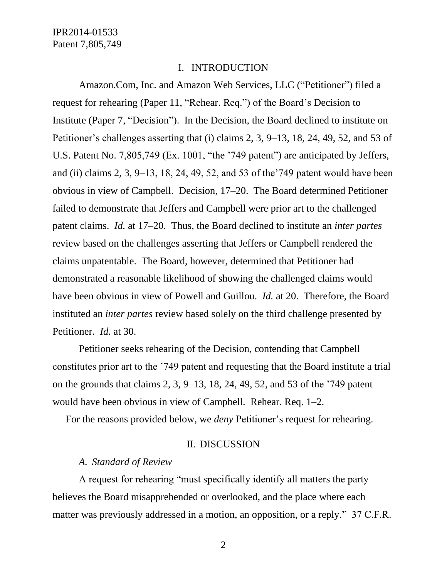#### I. INTRODUCTION

Amazon.Com, Inc. and Amazon Web Services, LLC ("Petitioner") filed a request for rehearing (Paper 11, "Rehear. Req.") of the Board's Decision to Institute (Paper 7, "Decision"). In the Decision, the Board declined to institute on Petitioner's challenges asserting that (i) claims 2, 3, 9–13, 18, 24, 49, 52, and 53 of U.S. Patent No. 7,805,749 (Ex. 1001, "the '749 patent") are anticipated by Jeffers, and (ii) claims 2, 3, 9–13, 18, 24, 49, 52, and 53 of the'749 patent would have been obvious in view of Campbell. Decision, 17–20. The Board determined Petitioner failed to demonstrate that Jeffers and Campbell were prior art to the challenged patent claims. *Id.* at 17–20. Thus, the Board declined to institute an *inter partes* review based on the challenges asserting that Jeffers or Campbell rendered the claims unpatentable. The Board, however, determined that Petitioner had demonstrated a reasonable likelihood of showing the challenged claims would have been obvious in view of Powell and Guillou. *Id.* at 20. Therefore, the Board instituted an *inter partes* review based solely on the third challenge presented by Petitioner. *Id.* at 30.

Petitioner seeks rehearing of the Decision, contending that Campbell constitutes prior art to the '749 patent and requesting that the Board institute a trial on the grounds that claims 2, 3, 9–13, 18, 24, 49, 52, and 53 of the '749 patent would have been obvious in view of Campbell. Rehear. Req. 1–2.

For the reasons provided below, we *deny* Petitioner's request for rehearing.

#### II. DISCUSSION

## *A. Standard of Review*

A request for rehearing "must specifically identify all matters the party believes the Board misapprehended or overlooked, and the place where each matter was previously addressed in a motion, an opposition, or a reply." 37 C.F.R.

2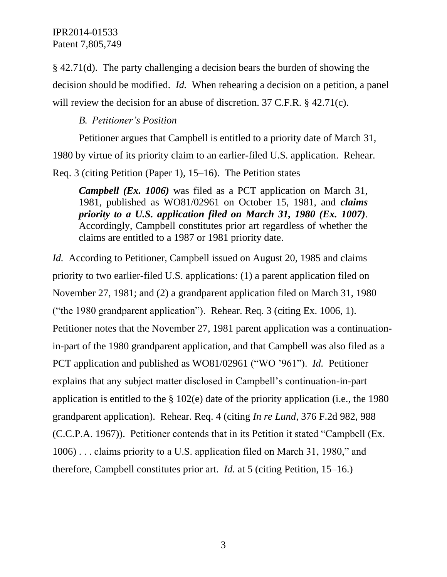§ 42.71(d). The party challenging a decision bears the burden of showing the decision should be modified. *Id.* When rehearing a decision on a petition, a panel will review the decision for an abuse of discretion. 37 C.F.R. § 42.71(c).

## *B. Petitioner's Position*

Petitioner argues that Campbell is entitled to a priority date of March 31, 1980 by virtue of its priority claim to an earlier-filed U.S. application. Rehear. Req. 3 (citing Petition (Paper 1), 15–16). The Petition states

*Campbell (Ex. 1006)* was filed as a PCT application on March 31, 1981, published as WO81/02961 on October 15, 1981, and *claims priority to a U.S. application filed on March 31, 1980 (Ex. 1007)*. Accordingly, Campbell constitutes prior art regardless of whether the claims are entitled to a 1987 or 1981 priority date.

*Id.* According to Petitioner, Campbell issued on August 20, 1985 and claims priority to two earlier-filed U.S. applications: (1) a parent application filed on November 27, 1981; and (2) a grandparent application filed on March 31, 1980 ("the 1980 grandparent application"). Rehear. Req. 3 (citing Ex. 1006, 1). Petitioner notes that the November 27, 1981 parent application was a continuationin-part of the 1980 grandparent application, and that Campbell was also filed as a PCT application and published as WO81/02961 ("WO '961"). *Id.* Petitioner explains that any subject matter disclosed in Campbell's continuation-in-part application is entitled to the § 102(e) date of the priority application (i.e., the 1980 grandparent application). Rehear. Req. 4 (citing *In re Lund*, 376 F.2d 982, 988 (C.C.P.A. 1967)). Petitioner contends that in its Petition it stated "Campbell (Ex. 1006) . . . claims priority to a U.S. application filed on March 31, 1980," and therefore, Campbell constitutes prior art. *Id.* at 5 (citing Petition, 15–16.)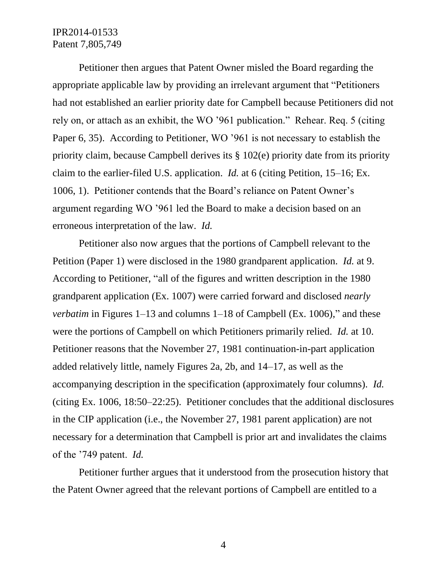Petitioner then argues that Patent Owner misled the Board regarding the appropriate applicable law by providing an irrelevant argument that "Petitioners had not established an earlier priority date for Campbell because Petitioners did not rely on, or attach as an exhibit, the WO '961 publication." Rehear. Req. 5 (citing Paper 6, 35). According to Petitioner, WO '961 is not necessary to establish the priority claim, because Campbell derives its § 102(e) priority date from its priority claim to the earlier-filed U.S. application. *Id.* at 6 (citing Petition, 15–16; Ex. 1006, 1). Petitioner contends that the Board's reliance on Patent Owner's argument regarding WO '961 led the Board to make a decision based on an erroneous interpretation of the law. *Id.*

Petitioner also now argues that the portions of Campbell relevant to the Petition (Paper 1) were disclosed in the 1980 grandparent application. *Id.* at 9. According to Petitioner, "all of the figures and written description in the 1980 grandparent application (Ex. 1007) were carried forward and disclosed *nearly verbatim* in Figures 1–13 and columns 1–18 of Campbell (Ex. 1006)," and these were the portions of Campbell on which Petitioners primarily relied. *Id.* at 10. Petitioner reasons that the November 27, 1981 continuation-in-part application added relatively little, namely Figures 2a, 2b, and 14–17, as well as the accompanying description in the specification (approximately four columns). *Id.* (citing Ex. 1006, 18:50–22:25). Petitioner concludes that the additional disclosures in the CIP application (i.e., the November 27, 1981 parent application) are not necessary for a determination that Campbell is prior art and invalidates the claims of the '749 patent. *Id.* 

Petitioner further argues that it understood from the prosecution history that the Patent Owner agreed that the relevant portions of Campbell are entitled to a

4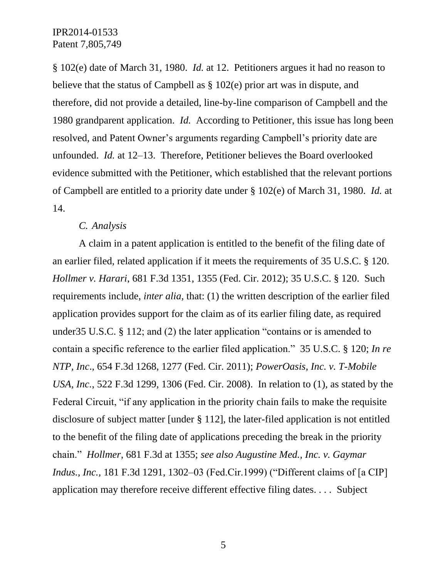§ 102(e) date of March 31, 1980. *Id.* at 12. Petitioners argues it had no reason to believe that the status of Campbell as § 102(e) prior art was in dispute, and therefore, did not provide a detailed, line-by-line comparison of Campbell and the 1980 grandparent application. *Id.* According to Petitioner, this issue has long been resolved, and Patent Owner's arguments regarding Campbell's priority date are unfounded. *Id.* at 12–13. Therefore, Petitioner believes the Board overlooked evidence submitted with the Petitioner, which established that the relevant portions of Campbell are entitled to a priority date under § 102(e) of March 31, 1980. *Id.* at 14.

#### *C. Analysis*

A claim in a patent application is entitled to the benefit of the filing date of an earlier filed, related application if it meets the requirements of 35 U.S.C. § 120. *Hollmer v. Harari*, 681 F.3d 1351, 1355 (Fed. Cir. 2012); 35 U.S.C. § 120. Such requirements include, *inter alia*, that: (1) the written description of the earlier filed application provides support for the claim as of its earlier filing date, as required under35 U.S.C. § 112; and (2) the later application "contains or is amended to contain a specific reference to the earlier filed application." 35 U.S.C. § 120; *In re NTP, Inc*., 654 F.3d 1268, 1277 (Fed. Cir. 2011); *PowerOasis, Inc. v. T-Mobile USA, Inc.*, 522 F.3d 1299, 1306 (Fed. Cir. 2008). In relation to (1), as stated by the Federal Circuit, "if any application in the priority chain fails to make the requisite disclosure of subject matter [under § 112], the later-filed application is not entitled to the benefit of the filing date of applications preceding the break in the priority chain." *Hollmer*, 681 F.3d at 1355; *see also Augustine Med., Inc. v. Gaymar Indus., Inc.,* 181 F.3d 1291, 1302–03 (Fed.Cir.1999) ("Different claims of [a CIP] application may therefore receive different effective filing dates. . . . Subject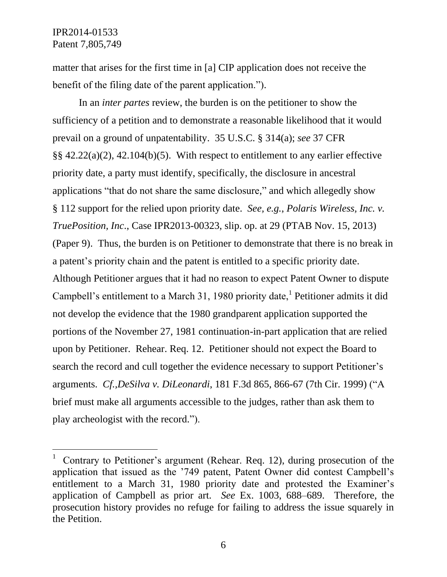$\overline{a}$ 

matter that arises for the first time in [a] CIP application does not receive the benefit of the filing date of the parent application.").

In an *inter partes* review, the burden is on the petitioner to show the sufficiency of a petition and to demonstrate a reasonable likelihood that it would prevail on a ground of unpatentability. 35 U.S.C. § 314(a); *see* 37 CFR §§ 42.22(a)(2), 42.104(b)(5). With respect to entitlement to any earlier effective priority date, a party must identify, specifically, the disclosure in ancestral applications "that do not share the same disclosure," and which allegedly show § 112 support for the relied upon priority date. *See, e.g.*, *Polaris Wireless, Inc. v. TruePosition, Inc*., Case IPR2013-00323, slip. op. at 29 (PTAB Nov. 15, 2013) (Paper 9). Thus, the burden is on Petitioner to demonstrate that there is no break in a patent's priority chain and the patent is entitled to a specific priority date. Although Petitioner argues that it had no reason to expect Patent Owner to dispute Campbell's entitlement to a March 31, 1980 priority date,<sup>1</sup> Petitioner admits it did not develop the evidence that the 1980 grandparent application supported the portions of the November 27, 1981 continuation-in-part application that are relied upon by Petitioner. Rehear. Req. 12. Petitioner should not expect the Board to search the record and cull together the evidence necessary to support Petitioner's arguments. *Cf.,DeSilva v. DiLeonardi*, 181 F.3d 865, 866-67 (7th Cir. 1999) ("A brief must make all arguments accessible to the judges, rather than ask them to play archeologist with the record.").

6

<sup>1</sup> Contrary to Petitioner's argument (Rehear. Req. 12), during prosecution of the application that issued as the '749 patent, Patent Owner did contest Campbell's entitlement to a March 31, 1980 priority date and protested the Examiner's application of Campbell as prior art. *See* Ex. 1003, 688–689. Therefore, the prosecution history provides no refuge for failing to address the issue squarely in the Petition.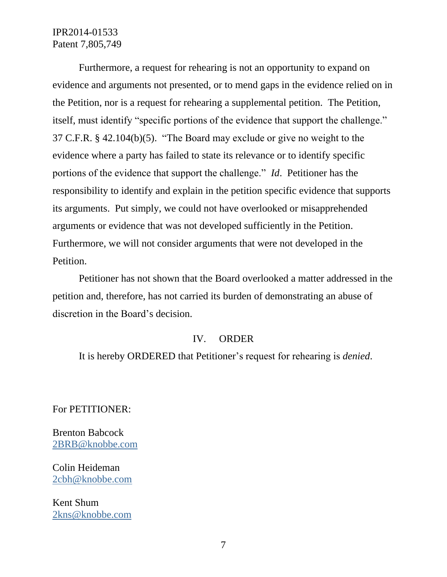Furthermore, a request for rehearing is not an opportunity to expand on evidence and arguments not presented, or to mend gaps in the evidence relied on in the Petition, nor is a request for rehearing a supplemental petition. The Petition, itself, must identify "specific portions of the evidence that support the challenge." 37 C.F.R. § 42.104(b)(5). "The Board may exclude or give no weight to the evidence where a party has failed to state its relevance or to identify specific portions of the evidence that support the challenge." *Id*. Petitioner has the responsibility to identify and explain in the petition specific evidence that supports its arguments. Put simply, we could not have overlooked or misapprehended arguments or evidence that was not developed sufficiently in the Petition. Furthermore, we will not consider arguments that were not developed in the Petition.

Petitioner has not shown that the Board overlooked a matter addressed in the petition and, therefore, has not carried its burden of demonstrating an abuse of discretion in the Board's decision.

#### IV. ORDER

It is hereby ORDERED that Petitioner's request for rehearing is *denied*.

For PETITIONER:

Brenton Babcock [2BRB@knobbe.com](mailto:2BRB@knobbe.com)

Colin Heideman [2cbh@knobbe.com](mailto:2cbh@knobbe.com)

Kent Shum [2kns@knobbe.com](mailto:2kns@knobbe.com)